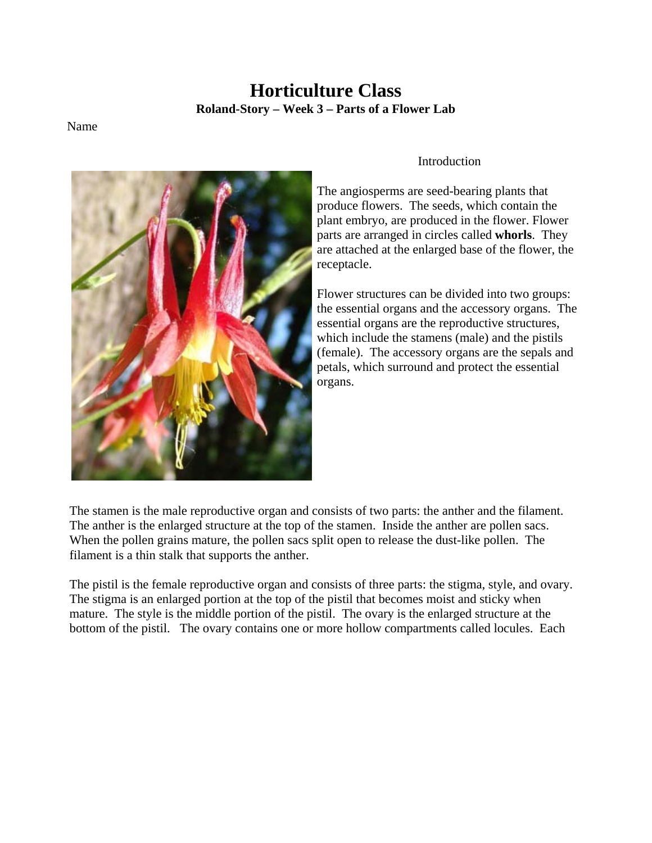# **Horticulture Class Roland-Story – Week 3 – Parts of a Flower Lab**

#### Name



### Introduction

The angiosperms are seed-bearing plants that produce flowers. The seeds, which contain the plant embryo, are produced in the flower. Flower parts are arranged in circles called **whorls**. They are attached at the enlarged base of the flower, the receptacle.

Flower structures can be divided into two groups: the essential organs and the accessory organs. The essential organs are the reproductive structures, which include the stamens (male) and the pistils (female). The accessory organs are the sepals and petals, which surround and protect the essential organs.

The stamen is the male reproductive organ and consists of two parts: the anther and the filament. The anther is the enlarged structure at the top of the stamen. Inside the anther are pollen sacs. When the pollen grains mature, the pollen sacs split open to release the dust-like pollen. The filament is a thin stalk that supports the anther.

The pistil is the female reproductive organ and consists of three parts: the stigma, style, and ovary. The stigma is an enlarged portion at the top of the pistil that becomes moist and sticky when mature. The style is the middle portion of the pistil. The ovary is the enlarged structure at the bottom of the pistil. The ovary contains one or more hollow compartments called locules. Each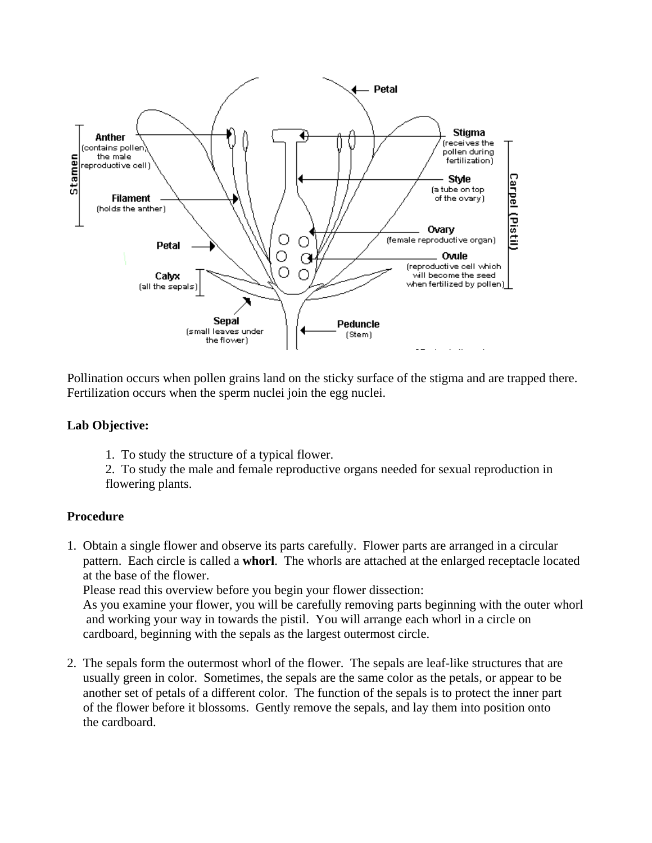

Pollination occurs when pollen grains land on the sticky surface of the stigma and are trapped there. Fertilization occurs when the sperm nuclei join the egg nuclei.

## **Lab Objective:**

1. To study the structure of a typical flower.

2. To study the male and female reproductive organs needed for sexual reproduction in flowering plants.

## **Procedure**

1. Obtain a single flower and observe its parts carefully. Flower parts are arranged in a circular pattern. Each circle is called a **whorl**. The whorls are attached at the enlarged receptacle located at the base of the flower.

Please read this overview before you begin your flower dissection:

 As you examine your flower, you will be carefully removing parts beginning with the outer whorl and working your way in towards the pistil. You will arrange each whorl in a circle on cardboard, beginning with the sepals as the largest outermost circle.

2. The sepals form the outermost whorl of the flower. The sepals are leaf-like structures that are usually green in color. Sometimes, the sepals are the same color as the petals, or appear to be another set of petals of a different color. The function of the sepals is to protect the inner part of the flower before it blossoms. Gently remove the sepals, and lay them into position onto the cardboard.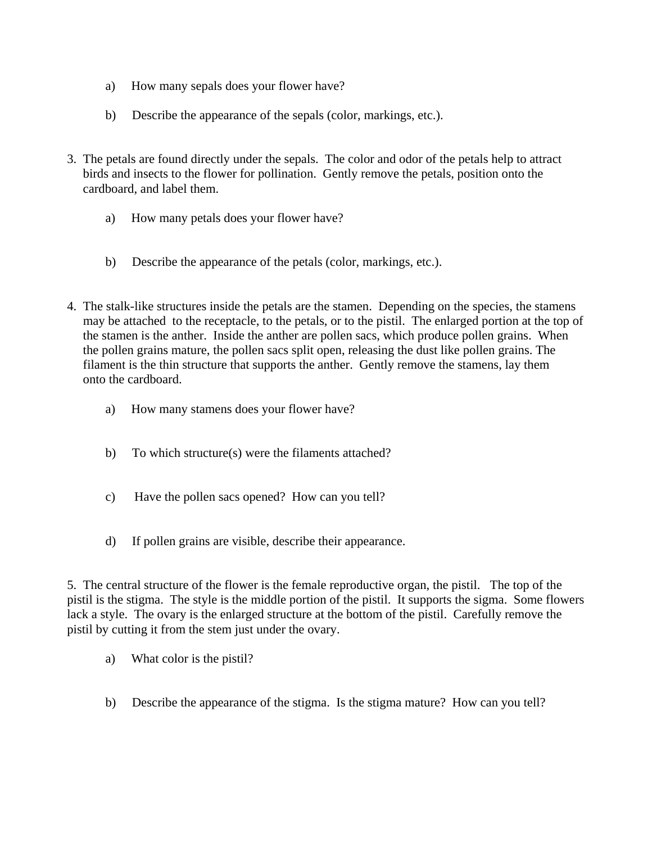- a) How many sepals does your flower have?
- b) Describe the appearance of the sepals (color, markings, etc.).
- 3. The petals are found directly under the sepals. The color and odor of the petals help to attract birds and insects to the flower for pollination. Gently remove the petals, position onto the cardboard, and label them.
	- a) How many petals does your flower have?
	- b) Describe the appearance of the petals (color, markings, etc.).
- 4. The stalk-like structures inside the petals are the stamen. Depending on the species, the stamens may be attached to the receptacle, to the petals, or to the pistil. The enlarged portion at the top of the stamen is the anther. Inside the anther are pollen sacs, which produce pollen grains. When the pollen grains mature, the pollen sacs split open, releasing the dust like pollen grains. The filament is the thin structure that supports the anther. Gently remove the stamens, lay them onto the cardboard.
	- a) How many stamens does your flower have?
	- b) To which structure(s) were the filaments attached?
	- c) Have the pollen sacs opened? How can you tell?
	- d) If pollen grains are visible, describe their appearance.

5. The central structure of the flower is the female reproductive organ, the pistil. The top of the pistil is the stigma. The style is the middle portion of the pistil. It supports the sigma. Some flowers lack a style. The ovary is the enlarged structure at the bottom of the pistil. Carefully remove the pistil by cutting it from the stem just under the ovary.

- a) What color is the pistil?
- b) Describe the appearance of the stigma. Is the stigma mature? How can you tell?